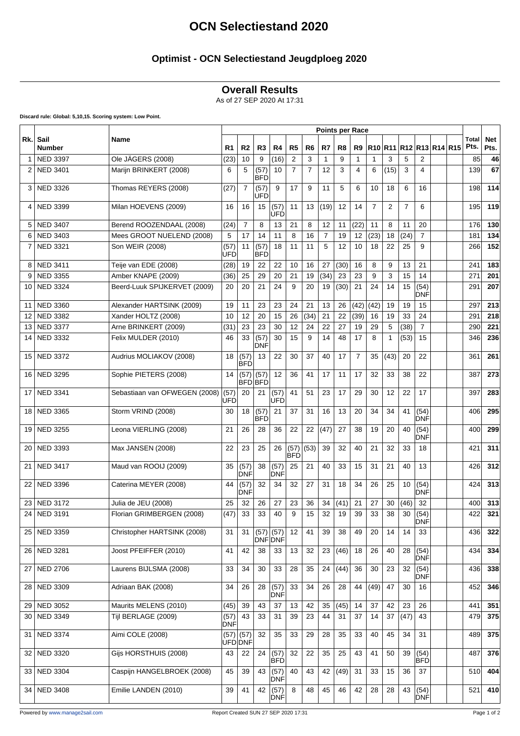# **OCN Selectiestand 2020**

### **Optimist - OCN Selectiestand Jeugdploeg 2020**

#### **Overall Results**

As of 27 SEP 2020 At 17:31

**Discard rule: Global: 5,10,15. Scoring system: Low Point.**

|              | Sail<br><b>Number</b> | Name                          | <b>Points per Race</b> |                 |                        |                    |                |                |                |      |                |                |                |                |                         |  |                      |                    |
|--------------|-----------------------|-------------------------------|------------------------|-----------------|------------------------|--------------------|----------------|----------------|----------------|------|----------------|----------------|----------------|----------------|-------------------------|--|----------------------|--------------------|
| Rk.          |                       |                               | R <sub>1</sub>         | R <sub>2</sub>  | R <sub>3</sub>         | R <sub>4</sub>     | R <sub>5</sub> | R <sub>6</sub> | R7             | R8   | R9             |                |                |                | R10 R11 R12 R13 R14 R15 |  | <b>Total</b><br>Pts. | <b>Net</b><br>Pts. |
| $\mathbf{1}$ | <b>NED 3397</b>       | Ole JÄGERS (2008)             | (23)                   | 10              | 9                      | (16)               | 2              | 3              | 1              | 9    | 1              | $\mathbf 1$    | 3              | 5              | 2                       |  | 85                   | 46                 |
| 2            | <b>NED 3401</b>       | Marijn BRINKERT (2008)        | 6                      | 5               | (57)<br>IBFD           | 10                 | $\overline{7}$ | $\overline{7}$ | 12             | 3    | 4              | 6              | (15)           | 3              | $\overline{\mathbf{4}}$ |  | 139                  | 67                 |
| 3            | <b>NED 3326</b>       | Thomas REYERS (2008)          | (27)                   | $\overline{7}$  | (57)<br>UFD            | 9                  | 17             | 9              | 11             | 5    | 6              | 10             | 18             | 6              | 16                      |  | 198                  | 114                |
| 4            | <b>NED 3399</b>       | Milan HOEVENS (2009)          | 16                     | 16              | 15                     | (57)<br>UFD        | 11             | 13             | (19)           | 12   | 14             | $\overline{7}$ | $\overline{2}$ | $\overline{7}$ | 6                       |  | 195                  | 119                |
| 5            | <b>NED 3407</b>       | Berend ROOZENDAAL (2008)      | (24)                   | $\overline{7}$  | 8                      | 13                 | 21             | 8              | 12             | 11   | (22)           | 11             | 8              | 11             | 20                      |  | 176                  | 130                |
| 6            | <b>NED 3403</b>       | Mees GROOT NUELEND (2008)     | 5                      | 17              | 14                     | 11                 | 8              | 16             | $\overline{7}$ | 19   | 12             | (23)           | 18             | (24)           | $\overline{7}$          |  | 181                  | 134                |
| 7            | <b>NED 3321</b>       | Son WEIR (2008)               | (57)<br>UFD            | 11              | (57)<br>IBFD           | 18                 | 11             | 11             | 5              | 12   | 10             | 18             | 22             | 25             | 9                       |  | 266                  | 152                |
| 8            | <b>NED 3411</b>       | Teije van EDE (2008)          | (28)                   | 19              | 22                     | 22                 | 10             | 16             | 27             | (30) | 16             | 8              | 9              | 13             | 21                      |  | 241                  | 183                |
| 9            | <b>NED 3355</b>       | Amber KNAPE (2009)            | (36)                   | 25              | 29                     | 20                 | 21             | 19             | (34)           | 23   | 23             | 9              | 3              | 15             | 14                      |  | 271                  | 201                |
| 10           | <b>NED 3324</b>       | Beerd-Luuk SPIJKERVET (2009)  | 20                     | 20              | 21                     | 24                 | 9              | 20             | 19             | (30) | 21             | 24             | 14             | 15             | (54)<br><b>DNF</b>      |  | 291                  | 207                |
| 11           | <b>NED 3360</b>       | Alexander HARTSINK (2009)     | 19                     | 11              | 23                     | 23                 | 24             | 21             | 13             | 26   | (42)           | (42)           | 19             | 19             | 15                      |  | 297                  | 213                |
| 12           | <b>NED 3382</b>       | Xander HOLTZ (2008)           | 10                     | 12              | 20                     | 15                 | 26             | (34)           | 21             | 22   | (39)           | 16             | 19             | 33             | 24                      |  | 291                  | 218                |
| 13           | <b>NED 3377</b>       | Arne BRINKERT (2009)          | (31)                   | 23              | 23                     | 30                 | 12             | 24             | 22             | 27   | 19             | 29             | 5              | (38)           | $\overline{7}$          |  | 290                  | 221                |
| 14           | <b>NED 3332</b>       | Felix MULDER (2010)           | 46                     | 33              | (57)<br>IDNF           | 30                 | 15             | 9              | 14             | 48   | 17             | 8              | 1              | (53)           | 15                      |  | 346                  | 236                |
| 15           | <b>NED 3372</b>       | Audrius MOLIAKOV (2008)       | 18                     | (57)<br>IBFD    | 13                     | 22                 | 30             | 37             | 40             | 17   | $\overline{7}$ | 35             | (43)           | 20             | 22                      |  | 361                  | 261                |
| 16           | <b>NED 3295</b>       | Sophie PIETERS (2008)         | 14                     | (57)            | (57)<br><b>BFDIBFD</b> | 12                 | 36             | 41             | 17             | 11   | 17             | 32             | 33             | 38             | 22                      |  | 387                  | 273                |
| 17           | <b>NED 3341</b>       | Sebastiaan van OFWEGEN (2008) | (57)<br>UFD            | 20              | 21                     | (57)<br>UFD        | 41             | 51             | 23             | 17   | 29             | 30             | 12             | 22             | 17                      |  | 397                  | 283                |
| 18           | <b>NED 3365</b>       | Storm VRIND (2008)            | 30                     | 18              | (57)<br>IBFD           | 21                 | 37             | 31             | 16             | 13   | 20             | 34             | 34             | 41             | (54)<br><b>DNF</b>      |  | 406                  | 295                |
| 19           | <b>NED 3255</b>       | Leona VIERLING (2008)         | 21                     | 26              | 28                     | 36                 | 22             | 22             | (47)           | 27   | 38             | 19             | 20             | 40             | (54)<br><b>DNF</b>      |  | 400                  | 299                |
| 20           | <b>NED 3393</b>       | Max JANSEN (2008)             | 22                     | 23              | 25                     | 26                 | (57)<br>BFD    | (53)           | 39             | 32   | 40             | 21             | 32             | 33             | 18                      |  | 421                  | 311                |
| 21           | <b>NED 3417</b>       | Maud van ROOIJ (2009)         | 35                     | (57)<br> DNF    | 38                     | (57)<br><b>DNF</b> | 25             | 21             | 40             | 33   | 15             | 31             | 21             | 40             | 13                      |  | 426                  | 312                |
| 22           | <b>NED 3396</b>       | Caterina MEYER (2008)         | 44                     | (57)<br> DNF    | 32                     | 34                 | 32             | 27             | 31             | 18   | 34             | 26             | 25             | 10             | (54)<br><b>DNF</b>      |  | 424                  | 313                |
| 23           | <b>NED 3172</b>       | Julia de JEU (2008)           | 25                     | 32              | 26                     | 27                 | 23             | 36             | 34             | (41) | 21             | 27             | 30             | (46)           | 32                      |  | 400                  | 313                |
| 24           | <b>NED 3191</b>       | Florian GRIMBERGEN (2008)     | (47)                   | 33              | 33                     | 40                 | 9              | 15             | 32             | 19   | 39             | 33             | 38             | 30             | (54)<br>DM⊦             |  | 422                  | 321                |
| 25           | <b>NED 3359</b>       | Christopher HARTSINK (2008)   | 31                     | 31              | (57)<br>DNF DNF        | (57)               | 12             | 41             | 39             | 38   | 49             | 20             | 14             | 14             | 33                      |  | 436                  | 322                |
| 26           | <b>NED 3281</b>       | Joost PFEIFFER (2010)         | 41                     | 42              | 38                     | 33                 | 13             | 32             | 23             | (46) | 18             | 26             | 40             | 28             | (54)<br><b>DNF</b>      |  | 434                  | 334                |
| 27           | <b>NED 2706</b>       | Laurens BIJLSMA (2008)        | 33                     | 34              | 30                     | 33                 | 28             | 35             | 24             | (44) | 36             | 30             | 23             | 32             | (54)<br><b>DNF</b>      |  | 436                  | 338                |
| 28           | <b>NED 3309</b>       | Adriaan BAK (2008)            | 34                     | 26              | 28                     | (57)<br><b>DNF</b> | 33             | 34             | 26             | 28   | 44             | (49)           | 47             | 30             | 16                      |  | 452                  | 346                |
| 29           | <b>NED 3052</b>       | Maurits MELENS (2010)         | (45)                   | 39              | 43                     | 37                 | 13             | 42             | 35             | (45) | 14             | 37             | 42             | 23             | 26                      |  | 441                  | 351                |
| 30           | <b>NED 3349</b>       | Tijl BERLAGE (2009)           | (57)<br>DNF            | 43              | 33                     | 31                 | 39             | 23             | 44             | 31   | 37             | 14             | 37             | (47)           | 43                      |  | 479                  | 375                |
| 31           | <b>NED 3374</b>       | Aimi COLE (2008)              | (57)                   | (57)<br>UFD DNF | 32                     | 35                 | 33             | 29             | 28             | 35   | 33             | 40             | 45             | 34             | 31                      |  | 489                  | 375                |
| 32           | <b>NED 3320</b>       | Gijs HORSTHUIS (2008)         | 43                     | 22              | 24                     | (57)<br><b>BFD</b> | 32             | 22             | 35             | 25   | 43             | 41             | 50             | 39             | (54)<br><b>BFD</b>      |  | 487                  | 376                |
| 33           | <b>NED 3304</b>       | Caspijn HANGELBROEK (2008)    | 45                     | 39              | 43                     | (57)<br><b>DNF</b> | 40             | 43             | 42             | (49) | 31             | 33             | 15             | 36             | 37                      |  | 510                  | 404                |
|              | 34   NED 3408         | Emilie LANDEN (2010)          | 39                     | 41              | 42                     | (57)<br><b>DNF</b> | 8              | 48             | 45             | 46   | 42             | 28             | 28             | 43             | (54)<br><b>DNF</b>      |  | 521                  | 410                |